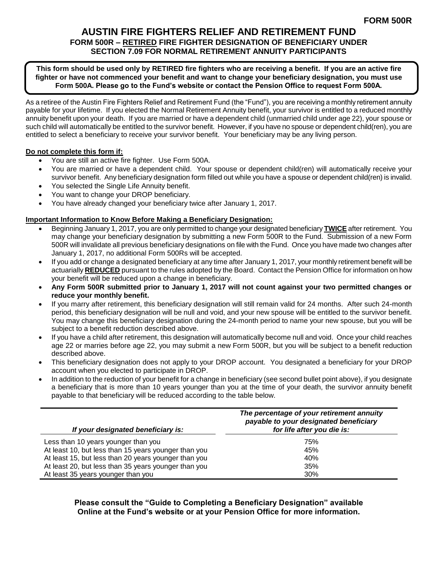## **AUSTIN FIRE FIGHTERS RELIEF AND RETIREMENT FUND FORM 500R – RETIRED FIRE FIGHTER DESIGNATION OF BENEFICIARY UNDER SECTION 7.09 FOR NORMAL RETIREMENT ANNUITY PARTICIPANTS**

### **This form should be used only by RETIRED fire fighters who are receiving a benefit. If you are an active fire fighter or have not commenced your benefit and want to change your beneficiary designation, you must use Form 500A. Please go to the Fund's website or contact the Pension Office to request Form 500A.**

As a retiree of the Austin Fire Fighters Relief and Retirement Fund (the "Fund"), you are receiving a monthly retirement annuity payable for your lifetime. If you elected the Normal Retirement Annuity benefit, your survivor is entitled to a reduced monthly annuity benefit upon your death. If you are married or have a dependent child (unmarried child under age 22), your spouse or such child will automatically be entitled to the survivor benefit. However, if you have no spouse or dependent child(ren), you are entitled to select a beneficiary to receive your survivor benefit. Your beneficiary may be any living person.

### **Do not complete this form if:**

- You are still an active fire fighter. Use Form 500A.
- You are married or have a dependent child. Your spouse or dependent child(ren) will automatically receive your survivor benefit. Any beneficiary designation form filled out while you have a spouse or dependent child(ren) is invalid.
- You selected the Single Life Annuity benefit.
- You want to change your DROP beneficiary.
- You have already changed your beneficiary twice after January 1, 2017.

## **Important Information to Know Before Making a Beneficiary Designation:**

- Beginning January 1, 2017, you are only permitted to change your designated beneficiary **TWICE** after retirement. You may change your beneficiary designation by submitting a new Form 500R to the Fund. Submission of a new Form 500R will invalidate all previous beneficiary designations on file with the Fund. Once you have made two changes after January 1, 2017, no additional Form 500Rs will be accepted.
- If you add or change a designated beneficiary at any time after January 1, 2017, your monthly retirement benefit will be actuarially **REDUCED** pursuant to the rules adopted by the Board. Contact the Pension Office for information on how your benefit will be reduced upon a change in beneficiary.
- **Any Form 500R submitted prior to January 1, 2017 will not count against your two permitted changes or reduce your monthly benefit.**
- If you marry after retirement, this beneficiary designation will still remain valid for 24 months. After such 24-month period, this beneficiary designation will be null and void, and your new spouse will be entitled to the survivor benefit. You may change this beneficiary designation during the 24-month period to name your new spouse, but you will be subject to a benefit reduction described above.
- If you have a child after retirement, this designation will automatically become null and void. Once your child reaches age 22 or marries before age 22, you may submit a new Form 500R, but you will be subject to a benefit reduction described above.
- This beneficiary designation does not apply to your DROP account. You designated a beneficiary for your DROP account when you elected to participate in DROP.
- In addition to the reduction of your benefit for a change in beneficiary (see second bullet point above), if you designate a beneficiary that is more than 10 years younger than you at the time of your death, the survivor annuity benefit payable to that beneficiary will be reduced according to the table below.

| If your designated beneficiary is:                   | The percentage of your retirement annuity<br>payable to your designated beneficiary<br>for life after you die is: |  |
|------------------------------------------------------|-------------------------------------------------------------------------------------------------------------------|--|
| Less than 10 years younger than you                  | 75%                                                                                                               |  |
| At least 10, but less than 15 years younger than you | 45%                                                                                                               |  |
| At least 15, but less than 20 years younger than you | 40%                                                                                                               |  |
| At least 20, but less than 35 years younger than you | 35%                                                                                                               |  |
| At least 35 years younger than you                   | 30%                                                                                                               |  |

**Please consult the "Guide to Completing a Beneficiary Designation" available Online at the Fund's website or at your Pension Office for more information.**